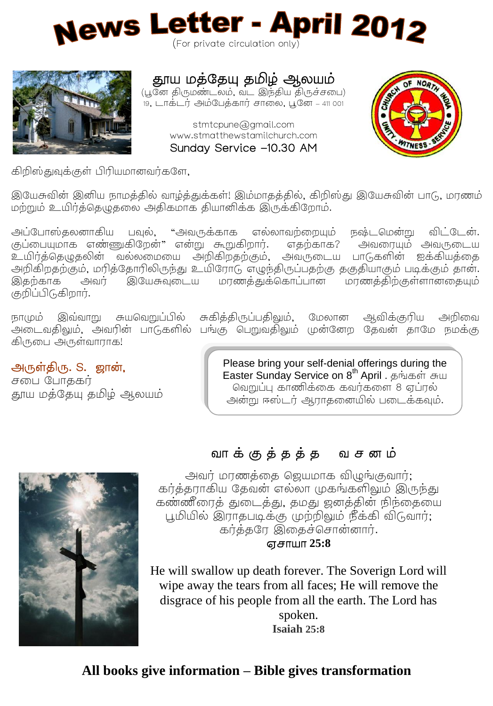



# தாய மத்தேயு தமிழ் ஆலயம்

(பூனே திருமண்டலம், வட இந்திய திருச்சபை) 19, டாக்டர் அம்பேக்கார் சாலை, பூனே – 411 001

> stmtcpune@gmail.com www.stmatthewstamilchurch.com Sunday Service -10.30 AM



கிறிஸ்துவுக்குள் பிரியமானவர்களே,

இயேசுவின் இனிய நாமத்தில் வாழ்த்துக்கள்! இம்மாதத்தில், கிறிஸ்து இயேசுவின் பாடு, மரணம் மற்றும் உயிர்த்தெழுதலை அதிகமாக தியானிக்க இருக்கிறோம்.

அப்போஸ்தலனாகிய பவல், "அவருக்காக எல்லாவற்றையும் நஷ்டமென்று விட்டேன். குப்பையுமாக எண்ணுகிறேன்" என்று கூறுகிறார். எகற்காக? அவரையும் அவருடைய உயிர்க்கெழுகலின் வல்லமையை அறிகிறகற்கும். அவருடைய பாடுகளின் ஐக்கியக்கை அறிகிறதற்கும், மரித்தோரிலிருந்து உயிரோடு எழுந்திருப்பதற்கு தகுதியாகும் படிக்கும் தான். அவர் இயேசுவுடைய மரணத்துக்கொப்பான மரணத்திற்குள்ளானதையும் இதற்காக குறிப்பிடுகிறார்.

நாமும் இவ்வாறு சுயவெறுப்பில் சுகித்திருப்பதிலும், மேலான கிருபை அருள்வாராக!

ஆவிக்குரிய அறிவை .<br>அடைவதிலும், அவரின் பாடுகளில் பங்கு பெறுவதிலும் முன்னேற தேவன் தாமே நமக்கு

#### அருள்திரு. S. ஜான்,

சபை போககர் .<br>தூய மக்கேய கமிழ் ஆலயம் Please bring your self-denial offerings during the Easter Sunday Service on 8<sup>th</sup> April. வெறுப்பு காணிக்கை கவர்களை 8 ஏப்ரல் அன்று ஈஸ்டர் ஆராதனையில் படைக்கவும்.



அவர் மரணத்தை ஜெயமாக விழுங்குவார்; காத்தராகிய தேவன் எல்லா முகங்களிலும் இருந்து கண்ணீரைத் துடைத்து, தமது ஜனத்தின் நிந்தையை பூமியில் இராதபடிக்கு முற்றிலும் நீக்கி விடுவார்; கர்த்தரே இதைச்சொன்னார்.

#### **25:8**

He will swallow up death forever. The Soverign Lord will wipe away the tears from all faces; He will remove the disgrace of his people from all the earth. The Lord has spoken. **Isaiah 25:8**

#### **All books give information – Bible gives transformation**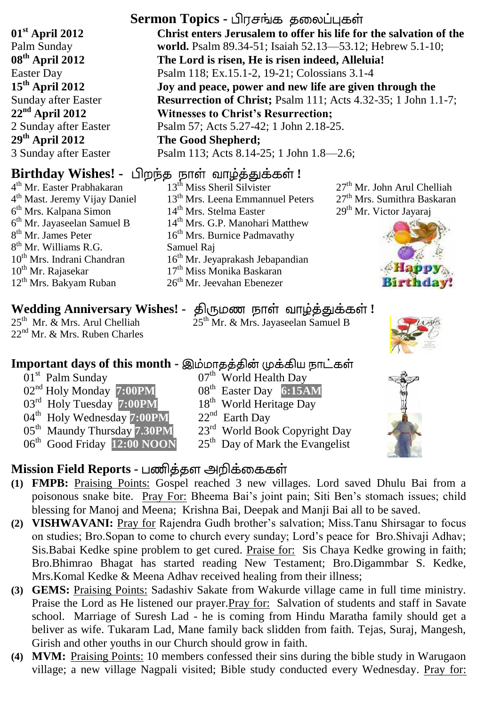**01st April 2012** Palm Sunday **08th April 2012** Easter Day **15th April 2012** Sunday after Easter **22nd April 2012** 2 Sunday after Easter **29th April 2012** 3 Sunday after Easter

4 th Mr. Easter Prabhakaran 4<sup>th</sup> Mast. Jeremy Vijay Daniel 6 th Mrs. Kalpana Simon 6 th Mr. Jayaseelan Samuel B 8<sup>th</sup> Mr. James Peter 8<sup>th</sup> Mr. Williams R.G. 10<sup>th</sup> Mrs. Indrani Chandran  $10^{th}$  Mr. Rajasekar 12th Mrs. Bakyam Ruban

25<sup>th</sup> Mr. & Mrs. Arul Chelliah 22<sup>nd</sup> Mr. & Mrs. Ruben Charles

## **Important days of this month -**

- 01<sup>st</sup> Palm Sunday 02nd Holy Monday **7:00PM**
- 03rd Holy Tuesday **7:00PM**
- 04<sup>th</sup> Holy Wednesday 7:00PM
- 05th Maundy Thursday **7.30PM**
- 06th Good Friday **12:00 NOON**
- 

#### **Sermon Topics - பிரசங்க தலைப்புகள் Christ enters Jerusalem to offer his life for the salvation of the world.** Psalm 89.34-51; Isaiah 52.13—53.12; Hebrew 5.1-10; **The Lord is risen, He is risen indeed, Alleluia!** Psalm 118; Ex.15.1-2, 19-21; Colossians 3.1-4 **Joy and peace, power and new life are given through the Resurrection of Christ;** Psalm 111; Acts 4.32-35; 1 John 1.1-7; **Witnesses to Christ's Resurrection;**

Psalm 57; Acts 5.27-42; 1 John 2.18-25. **The Good Shepherd;** 

Psalm 113; Acts 8.14-25; 1 John 1.8—2.6;

# **Birthday Wishes! -** பிறந்த நாள் வாழ்த்துக்கள்!

13th Miss Sheril Silvister 13<sup>th</sup> Mrs. Leena Emmannuel Peters 14<sup>th</sup> Mrs. Stelma Easter 14<sup>th</sup> Mrs. G.P. Manohari Matthew  $16<sup>th</sup>$  Mrs. Burnice Padmavathy Samuel Raj 16<sup>th</sup> Mr. Jeyaprakash Jebapandian 17<sup>th</sup> Miss Monika Baskaran 26th Mr. Jeevahan Ebenezer

27th Mr. John Arul Chelliah 27<sup>th</sup> Mrs. Sumithra Baskaran 29<sup>th</sup> Mr. Victor Jayaraj



# **Wedding Anniversary Wishes! - திருமண நாள் வாழ்த்துக்கள்!**

25<sup>th</sup> Mr. & Mrs. Jayaseelan Samuel B



- 08th Easter Day **6:15AM**
- 18<sup>th</sup> World Heritage Day
- 22<sup>nd</sup> Earth Day
- 23<sup>rd</sup> World Book Copyright Day
- 25<sup>th</sup> Day of Mark the Evangelist

# **Mission Field Reports -**

- **(1) FMPB:** Praising Points: Gospel reached 3 new villages. Lord saved Dhulu Bai from a poisonous snake bite. Pray For: Bheema Bai's joint pain; Siti Ben's stomach issues; child blessing for Manoj and Meena; Krishna Bai, Deepak and Manji Bai all to be saved.
- **(2) VISHWAVANI:** Pray for Rajendra Gudh brother's salvation; Miss.Tanu Shirsagar to focus on studies; Bro.Sopan to come to church every sunday; Lord's peace for Bro.Shivaji Adhav; Sis.Babai Kedke spine problem to get cured. Praise for: Sis Chaya Kedke growing in faith; Bro.Bhimrao Bhagat has started reading New Testament; Bro.Digammbar S. Kedke, Mrs.Komal Kedke & Meena Adhav received healing from their illness;
- **(3) GEMS:** Praising Points: Sadashiv Sakate from Wakurde village came in full time ministry. Praise the Lord as He listened our prayer.Pray for: Salvation of students and staff in Savate school. Marriage of Suresh Lad - he is coming from Hindu Maratha family should get a beliver as wife. Tukaram Lad, Mane family back slidden from faith. Tejas, Suraj, Mangesh, Girish and other youths in our Church should grow in faith.
- **(4) MVM:** Praising Points: 10 members confessed their sins during the bible study in Warugaon village; a new village Nagpali visited; Bible study conducted every Wednesday. Pray for:

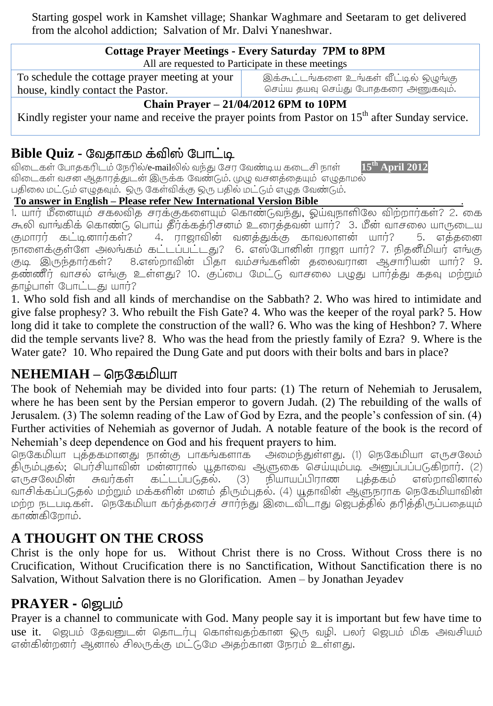Starting gospel work in Kamshet village; Shankar Waghmare and Seetaram to get delivered from the alcohol addiction; Salvation of Mr. Dalvi Ynaneshwar.

| <b>Cottage Prayer Meetings - Every Saturday 7PM to 8PM</b>                                                    |                                       |  |  |  |  |  |
|---------------------------------------------------------------------------------------------------------------|---------------------------------------|--|--|--|--|--|
| All are requested to Participate in these meetings                                                            |                                       |  |  |  |  |  |
| To schedule the cottage prayer meeting at your                                                                | இக்கூட்டங்களை உங்கள் வீட்டில் ஒழுங்கு |  |  |  |  |  |
| house, kindly contact the Pastor.                                                                             | செய்ய தயவு செய்து போதகரை அணுகவும்.    |  |  |  |  |  |
| Chain Prayer $-21/04/2012$ 6PM to 10PM                                                                        |                                       |  |  |  |  |  |
| Kindly register your name and receive the prayer points from Pastor on 15 <sup>th</sup> after Sunday service. |                                       |  |  |  |  |  |

#### **Bible Quiz -**

 /e-mail **15th April 2012** .<br>விடைகள் வசன ஆதாரத்துடன் இருக்க வேண்டும். முழு வசனத்தையும் எழுதாமல் பதிலை மட்டும் எழுதவும். ஒரு கேள்விக்கு ஒரு பதில் மட்டும் எழுத வேண்டும்.

#### **To answer in English – Please refer New International Version Bible** .

1. யார் மீனையும் சகலவித சரக்குகளையும் கொண்டுவந்து, ஓய்வுநாளிலே விற்றார்கள்? 2. கை கூலி வாங்கிக் கொண்டு பொய் தீர்க்கத்ரிசனம் உரைத்தவன் யார்? 3. மீன் வாசலை யாருடைய .<br>குமாரர் கட்டினார்கள்? 4. ராஜாவின் வனத்துக்கு காவலாளன் யார்? 5. எக்கணை .<br>நாளைக்குள்ளே அலங்கம் கட்டப்பட்டது? 6. எஸ்போனின் ராஜா யார்? 7. நிதனீமியர் எங்கு .குடி இருந்தார்கள்? 8.எஸ்றாவின் பிதா வம்சங்களின் கலைவரான ஆசாரியன் யார்? 9. .<br>தண்ணீர் வாசல் எங்கு உள்ளது? 10. குப்பை மேட்டு வாசலை பழுது பார்த்து கதவு மற்றும் தாழ்பாள் போட்டது யார்?

1. Who sold fish and all kinds of merchandise on the Sabbath? 2. Who was hired to intimidate and give false prophesy? 3. Who rebuilt the Fish Gate? 4. Who was the keeper of the royal park? 5. How long did it take to complete the construction of the wall? 6. Who was the king of Heshbon? 7. Where did the temple servants live? 8. Who was the head from the priestly family of Ezra? 9. Where is the Water gate? 10. Who repaired the Dung Gate and put doors with their bolts and bars in place?

## **NEHEMIAH –**

The book of Nehemiah may be divided into four parts: (1) The return of Nehemiah to Jerusalem, where he has been sent by the Persian emperor to govern Judah. (2) The rebuilding of the walls of Jerusalem. (3) The solemn reading of the Law of God by Ezra, and the people's confession of sin. (4) Further activities of Nehemiah as governor of Judah. A notable feature of the book is the record of Nehemiah's deep dependence on God and his frequent prayers to him.

நெகேமியா புத்தகமானது நான்கு பாகங்களாக அமைந்துள்ளது. (1) நெகேமியா எருசலேம் திரும்புதல்; பெர்சியாவின் மன்னரால் யூதாவை ஆளுகை செய்யும்படி அனுப்பப்படுகிறார். (2) எருசலேமின் சுவர்கள் கட்டப்படுதல். (3) நியாயப்பிராண புத்தகம் எஸ்றாவினால் வாசிக்கப்படுதல் மற்றும் மக்களின் மனம் திரும்புதல். (4) யூதாவின் ஆளுநராக நெகேமியாவின் மற்ற நடபடிகள். நெகேமியா கர்த்தரைச் சார்ந்து இடைவிடாது ஜெபத்தில் தரித்திருப்பதையும் காண்கிறோம்.

## **A THOUGHT ON THE CROSS**

Christ is the only hope for us. Without Christ there is no Cross. Without Cross there is no Crucification, Without Crucification there is no Sanctification, Without Sanctification there is no Salvation, Without Salvation there is no Glorification. Amen – by Jonathan Jeyadev

## **PRAYER -**

Prayer is a channel to communicate with God. Many people say it is important but few have time to use it. ஜெபம் தேவனுடன் தொடர்பு கொள்வதற்கான ஒரு வழி. பலர் ஜெபம் மிக அவசியம் என்கின்றனர் ஆனால் சிலருக்கு மட்டுமே அதற்கான நேரம் உள்ளது.